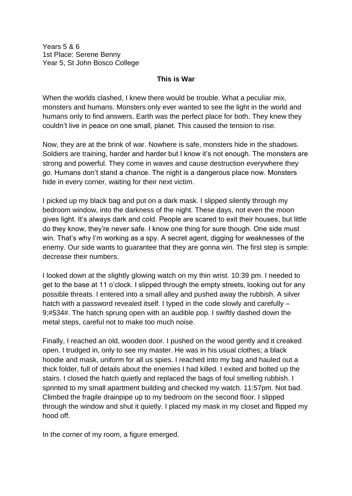Years 5 & 6 1st Place: Serene Benny Year 5, St John Bosco College

## **This is War**

When the worlds clashed, I knew there would be trouble. What a peculiar mix, monsters and humans. Monsters only ever wanted to see the light in the world and humans only to find answers. Earth was the perfect place for both. They knew they couldn't live in peace on one small, planet. This caused the tension to rise.

Now, they are at the brink of war. Nowhere is safe, monsters hide in the shadows. Soldiers are training, harder and harder but I know it's not enough. The monsters are strong and powerful. They come in waves and cause destruction everywhere they go. Humans don't stand a chance. The night is a dangerous place now. Monsters hide in every corner, waiting for their next victim.

I picked up my black bag and put on a dark mask. I slipped silently through my bedroom window, into the darkness of the night. These days, not even the moon gives light. It's always dark and cold. People are scared to exit their houses, but little do they know, they're never safe. I know one thing for sure though. One side must win. That's why I'm working as a spy. A secret agent, digging for weaknesses of the enemy. Our side wants to guarantee that they are gonna win. The first step is simple: decrease their numbers.

I looked down at the slightly glowing watch on my thin wrist. 10:39 pm. I needed to get to the base at 11 o'clock. I slipped through the empty streets, looking out for any possible threats. I entered into a small alley and pushed away the rubbish. A silver hatch with a password revealed itself. I typed in the code slowly and carefully – 9;#534#. The hatch sprung open with an audible pop. I swiftly dashed down the metal steps, careful not to make too much noise.

Finally, I reached an old, wooden door. I pushed on the wood gently and it creaked open. I trudged in, only to see my master. He was in his usual clothes; a black hoodie and mask, uniform for all us spies. I reached into my bag and hauled out a thick folder, full of details about the enemies I had killed. I exited and bolted up the stairs. I closed the hatch quietly and replaced the bags of foul smelling rubbish. I sprinted to my small apartment building and checked my watch. 11:57pm. Not bad. Climbed the fragile drainpipe up to my bedroom on the second floor. I slipped through the window and shut it quietly. I placed my mask in my closet and flipped my hood off.

In the corner of my room, a figure emerged.